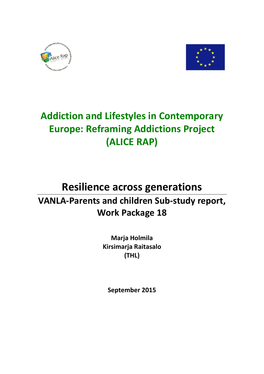



# **Addiction and Lifestyles in Contemporary Europe: Reframing Addictions Project (ALICE RAP)**

## **Resilience across generations VANLA-Parents and children Sub-study report, Work Package 18**

**Marja Holmila Kirsimarja Raitasalo (THL)**

**September 2015**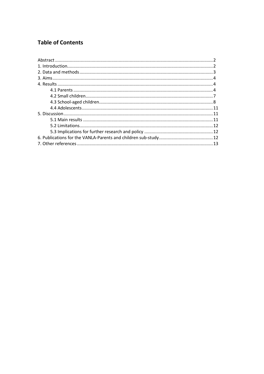## **Table of Contents**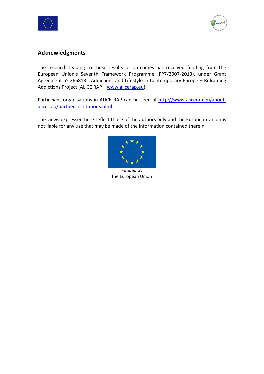



## **Acknowledgments**

The research leading to these results or outcomes has received funding from the European Union's Seventh Framework Programme (FP7/2007-2013), under Grant Agreement nº 266813 - Addictions and Lifestyle in Contemporary Europe - Reframing Addictions Project (ALICE RAP – [www.alicerap.eu\)](http://www.alicerap.eu/).

Participant organisations in ALICE RAP can be seen at [http://www.alicerap.eu/about](http://www.alicerap.eu/about-alice-rap/partner-institutions.html)[alice-rap/partner-institutions.html.](http://www.alicerap.eu/about-alice-rap/partner-institutions.html)

The views expressed here reflect those of the authors only and the European Union is not liable for any use that may be made of the information contained therein.



Funded by the European Union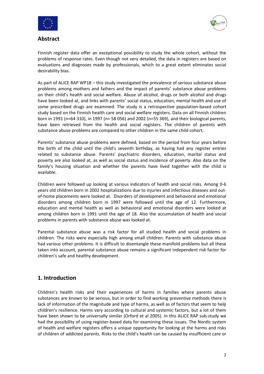



#### **Abstract**

Finnish register data offer an exceptional possibility to study the whole cohort, without the problems of response rates. Even though not very detailed, the data in registers are based on evaluations and diagnoses made by professionals, which to a great extent eliminates social desirability bias.

As part of ALICE RAP WP18 – this study investigated the prevalence of serious substance abuse problems among mothers and fathers and the impact of parents' substance abuse problems on their child's health and social welfare. Abuse of alcohol, drugs or both alcohol and drugs have been looked at, and links with parents' social status, education, mental health and use of some prescribed drugs are examined. The study is a retrospective population-based cohort study based on the Finnish health care and social welfare registers. Data on all Finnish children born in 1991 (n=64 310), in 1997 (n= 58 056) and 2002 (n=55 369), and their biological parents, have been retrieved from the health and social registers. The children of parents with substance abuse problems are compared to other children in the same child cohort.

Parents' substance abuse problems were defined, based on the period from four years before the birth of the child until the child's seventh birthday, as having had any register entries related to substance abuse. Parents' psychiatric disorders, education, marital status and poverty are also looked at, as well as social status and incidence of poverty. Also data on the family's housing situation and whether the parents have lived together with the child is available.

Children were followed up looking at various indicators of health and social risks. Among 0-6 years old children born in 2002 hospitalizations due to injuries and infectious diseases and outof-home placements were looked at. Disorders of development and behavioral and emotional disorders among children born in 1997 were followed until the age of 12. Furthermore, education and mental health as well as behavioral and emotional disorders were looked at among children born in 1991 until the age of 18. Also the accumulation of health and social problems in parents with substance abuse was looked at.

Parental substance abuse was a risk factor for all studied health and social problems in children. The risks were especially high among small children. Parents with substance abuse had various other problems. It is difficult to disentangle these manifold problems but all these taken into account, parental substance abuse remains a significant independent risk factor for children's safe and healthy development.

## **1. Introduction**

Children's health risks and their experiences of harms in families where parents abuse substances are known to be serious, but in order to find working preventive methods there is lack of information of the magnitude and type of harms, as well as of factors that seem to help children's resilience. Harms vary according to cultural and systemic factors, but a lot of them have been shown to be universally similar (Orford et al 2005). In this ALICE RAP sub-study we had the possibility of using register-based data for examining these issues. The Nordic system of health and welfare registers offers a unique opportunity for looking at the harms and risks of children of addicted parents. Risks to the child's health can be caused by insufficient care or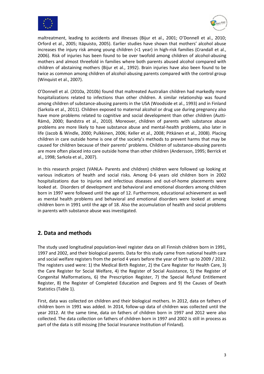



maltreatment, leading to accidents and illnesses (Bijur et al., 2001; O'Donnell et al., 2010; Orford et al., 2005; Itäpuisto, 2005). Earlier studies have shown that mothers' alcohol abuse increases the injury risk among young children (<1 year) in high-risk families (Crandall et al., 2006). Risk of injuries has been found to be over twofold among children of alcohol-abusing mothers and almost threefold in families where both parents abused alcohol compared with children of abstaining mothers (Bijur et al., 1992). Brain injuries have also been found to be twice as common among children of alcohol-abusing parents compared with the control group (Winquist et al., 2007).

O'Donnell et al. (2010a, 2010b) found that maltreated Australian children had markedly more hospitalizations related to infections than other children. A similar relationship was found among children of substance-abusing parents in the USA (Woodside et al., 1993) and in Finland (Sarkola et al., 2011). Children exposed to maternal alcohol or drug use during pregnancy also have more problems related to cognitive and social development than other children (Autti-Rämö, 2000; Bandstra et al., 2010). Moreover, children of parents with substance abuse problems are more likely to have substance abuse and mental-health problems, also later in life (Jacob & Windle, 2000; Pulkkinen, 2006; Keller et al., 2008; Pitkänen et al., 2008). Placing children in care outside home is one of the society's methods to prevent harms that may be caused for children because of their parents' problems. Children of substance-abusing parents are more often placed into care outside home than other children (Andersson, 1995; Berrick et al., 1998; Sarkola et al., 2007).

In this research project (VANLA- Parents and children) children were followed up looking at various indicators of health and social risks. Among 0-6 years old children born in 2002 hospitalizations due to injuries and infectious diseases and out-of-home placements were looked at. Disorders of development and behavioral and emotional disorders among children born in 1997 were followed until the age of 12. Furthermore, educational achievement as well as mental health problems and behavioral and emotional disorders were looked at among children born in 1991 until the age of 18. Also the accumulation of health and social problems in parents with substance abuse was investigated.

## **2. Data and methods**

The study used longitudinal population-level register data on all Finnish children born in 1991, 1997 and 2002, and their biological parents. Data for this study came from national health care and social welfare registers from the period 4 years before the year of birth up to 2009 / 2012. The registers used were: 1) the Medical Birth Register, 2) the Care Register for Health Care, 3) the Care Register for Social Welfare, 4) the Register of Social Assistance, 5) the Register of Congenital Malformations, 6) the Prescription Register, 7) the Special Refund Entitlement Register, 8) the Register of Completed Education and Degrees and 9) the Causes of Death Statistics (Table 1).

First, data was collected on children and their biological mothers. In 2012, data on fathers of children born in 1991 was added. In 2014, follow-up data of children was collected until the year 2012. At the same time, data on fathers of children born in 1997 and 2012 were also collected. The data collection on fathers of children born in 1997 and 2002 is still in process as part of the data is still missing (the Social Insurance Institution of Finland).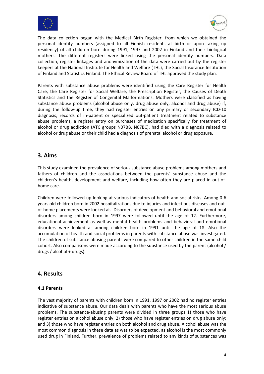



The data collection began with the Medical Birth Register, from which we obtained the personal identity numbers (assigned to all Finnish residents at birth or upon taking up residency) of all children born during 1991, 1997 and 2002 in Finland and their biological mothers. The different registers were linked using the personal identity numbers. Data collection, register linkages and anonymization of the data were carried out by the register keepers at the National Institute for Health and Welfare (THL), the Social Insurance Institution of Finland and Statistics Finland. The Ethical Review Board of THL approved the study plan.

Parents with substance abuse problems were identified using the Care Register for Health Care, the Care Register for Social Welfare, the Prescription Register, the Causes of Death Statistics and the Register of Congenital Malformations. Mothers were classified as having substance abuse problems (alcohol abuse only, drug abuse only, alcohol and drug abuse) if, during the follow-up time, they had register entries on any primary or secondary ICD-10 diagnosis, records of in-patient or specialized out-patient treatment related to substance abuse problems, a register entry on purchases of medication specifically for treatment of alcohol or drug addiction (ATC groups N07BB, N07BC), had died with a diagnosis related to alcohol or drug abuse or their child had a diagnosis of prenatal alcohol or drug exposure.

## **3. Aims**

This study examined the prevalence of serious substance abuse problems among mothers and fathers of children and the associations between the parents' substance abuse and the children's health, development and welfare, including how often they are placed in out-ofhome care.

Children were followed up looking at various indicators of health and social risks. Among 0-6 years old children born in 2002 hospitalizations due to injuries and infectious diseases and outof-home placements were looked at. Disorders of development and behavioral and emotional disorders among children born in 1997 were followed until the age of 12. Furthermore, educational achievement as well as mental health problems and behavioral and emotional disorders were looked at among children born in 1991 until the age of 18. Also the accumulation of health and social problems in parents with substance abuse was investigated. The children of substance abusing parents were compared to other children in the same child cohort. Also comparisons were made according to the substance used by the parent (alcohol / drugs / alcohol + drugs).

### **4. Results**

#### **4.1 Parents**

The vast majority of parents with children born in 1991, 1997 or 2002 had no register entries indicative of substance abuse. Our data deals with parents who have the most serious abuse problems. The substance-abusing parents were divided in three groups 1) those who have register entries on alcohol abuse only; 2) those who have register entries on drug abuse only; and 3) those who have register entries on both alcohol and drug abuse. Alcohol abuse was the most common diagnosis in these data as was to be expected, as alcohol is the most commonly used drug in Finland. Further, prevalence of problems related to any kinds of substances was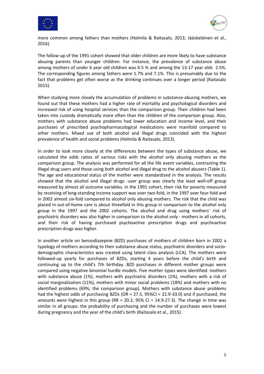



more common among fathers than mothers (Holmila & Raitasalo, 2013; Jääskeläinen et al., 2016).

The follow-up of the 1991 cohort showed that older children are more likely to have substance abusing parents than younger children. For instance, the prevalence of substance abuse among mothers of under 6 year old children was 0.5 % and among the 13-17 year olds 2.5%. The corresponding figures among fathers were 1.7% and 7.1%. This is presumably due to the fact that problems get often worse as the drinking continues over a longer period (Raitasalo 2015).

When studying more closely the accumulation of problems in substance-abusing mothers, we found out that these mothers had a higher rate of mortality and psychological disorders and increased risk of using hospital services than the comparison group. Their children had been taken into custody dramatically more often than the children of the comparison group. Also, mothers with substance abuse problems had lower education and income level, and their purchases of prescribed psychopharmacological medications were manifold compared to other mothers. Mixed use of both alcohol and illegal drugs coincided with the highest prevalence of health and social problems (Holmila & Raitasalo, 2013).

In order to look more closely at the differences between the types of substance abuse, we calculated the odds ratios of various risks with the alcohol only abusing mothers as the comparison group. The analysis was performed for all the life event variables, contrasting the illegal drug users and those using both alcohol and illegal drug to the alcohol abusers (Table 1). The age and educational status of the mother were standardized in the analysis. The results showed that the alcohol and illegal drugs -user group was clearly the least well-off group measured by almost all outcome variables. In the 1991 cohort, their risk for poverty measured by receiving of long-standing income support was over two-fold, in the 1997 over four-fold and in 2002 almost six-fold compared to alcohol only abusing mothers. The risk that the child was placed in out-of-home care is about threefold in this group in comparison to the alcohol only group in the 1997 and the 2002 cohorts. The alcohol and drug using mothers' risk of psychiatric disorders was also higher in comparison to the alcohol only - mothers in all cohorts, and their risk of having purchased psychoactive prescription drugs and psychoactive prescription drugs was higher.

In another article on benzodiazepine (BZD) purchases of mothers of children born in 2002 a typology of mothers according to their substance abuse status, psychiatric disorders and sociodemographic characteristics was created using latent class analysis (LCA). The mothers were followed-up yearly for purchases of BZDs, starting 4 years before the child's birth and continuing up to the child's 7th birthday. BZD purchases in different mother groups were compared using negative binomial hurdle models. Five mother types were identified: mothers with substance abuse (1%), mothers with psychiatric disorders (1%), mothers with a risk of social marginalization (11%), mothers with minor social problems (18%) and mothers with no identified problems (69%; the comparison group). Mothers with substance abuse problems had the highest odds of purchasing BZDs (OR = 27.5, 95%CI = 22.9-33.0) and if purchased, the amounts were highest in this group (RR = 20.2, 95% CI =  $14.9-27.3$ ). The change in time was similar in all groups: the probability of purchasing and the number of purchases were lowest during pregnancy and the year of the child's birth (Raitasalo et al., 2015).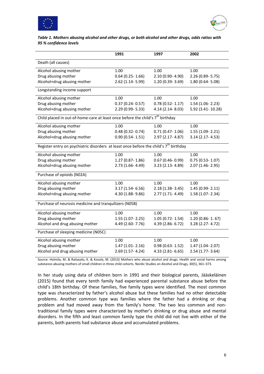



#### *Table 1. Mothers abusing alcohol and other drugs, or both alcohol and other drugs, odds ratios with 95 % confidence levels*

|                                                                                                   | 1991                | 1997                   | 2002                |  |  |
|---------------------------------------------------------------------------------------------------|---------------------|------------------------|---------------------|--|--|
| Death (all causes)                                                                                |                     |                        |                     |  |  |
| Alcohol abusing mother                                                                            | 1.00                | 1.00                   | 1.00                |  |  |
| Drug abusing mother                                                                               | $0.64$ (0.25-1.66)  | 2.10 (0.90-4.90)       | 2.26 (0.89-5.75)    |  |  |
| Alcohol+drug abusing mother                                                                       | 2.62 (1.14-5.99)    | 1.20 (0.39-3.69)       | $1.80(0.64 - 5.08)$ |  |  |
| Longstanding income support                                                                       |                     |                        |                     |  |  |
| Alcohol abusing mother                                                                            | 1.00                | 1.00                   | 1.00                |  |  |
| Drug abusing mother                                                                               | $0.37(0.24 - 0.57)$ | $0.78$ (0.52-1.17)     | $1.54(1.06 - 2.23)$ |  |  |
| Alcohol+drug abusing mother                                                                       | 2.29 (0.99-5.33)    | 4.14 (2.14 - 8.03)     | 5.92 (3.41-10.28)   |  |  |
| Child placed in out-of-home-care at least once before the child's 7 <sup>th</sup> birthday        |                     |                        |                     |  |  |
| Alcohol abusing mother                                                                            | 1.00                | 1.00                   | 1.00                |  |  |
| Drug abusing mother                                                                               | $0.48(0.32 - 0.74)$ | $0.71(0.47 - 1.06)$    | $1.55(1.09 - 2.21)$ |  |  |
| Alcohol+drug abusing mother                                                                       | $0.90(0.54 - 1.51)$ | 2.97 (2.17-4.87)       | $3.14$ (2.17-4.53)  |  |  |
| Register entry on psychiatric disorders at least once before the child's 7 <sup>th</sup> birthday |                     |                        |                     |  |  |
| Alcohol abusing mother                                                                            | 1.00                | 1.00                   | 1.00                |  |  |
| Drug abusing mother                                                                               | 1.27 (0.87-1.86)    | $0.67$ (0.46- $0.99$ ) | $0.75(0.53 - 1.07)$ |  |  |
| Alcohol+drug abusing mother                                                                       | 2.73 (1.66-4.49)    | 3.23 (2.13-4.89)       | 2.07 (1.46-2.95)    |  |  |
| Purchase of opioids (N02A)                                                                        |                     |                        |                     |  |  |
| Alcohol abusing mother                                                                            | 1.00                | 1.00                   | 1.00                |  |  |
| Drug abusing mother                                                                               | $3.17(1.54 - 6.56)$ | $2.18(1.38-3.45)$      | 1.45 (0.99-2.11)    |  |  |
| Alcohol+drug abusing mother                                                                       | 4.30 (1.88-9.86)    | 2.77 (1.71-4.49)       | 1.58 (1.07 - 2.34)  |  |  |
| Purchase of neurosis medicine and tranquilizers (N05B)                                            |                     |                        |                     |  |  |
| Alcohol abusing mother                                                                            | 1.00                | 1.00                   | 1.00                |  |  |
| Drug abusing mother                                                                               | $1.55(1.07 - 2.25)$ | $1.05(0.72 - 1.54)$    | $1.20(0.86 - 1.67)$ |  |  |
| Alcohol and drug abusing mother                                                                   | 4.49 (2.60-7.76)    | 4.39 (2.86-6.72)       | 3.28 (2.27-4.72)    |  |  |
| Purchase of sleeping medicine (N05C)                                                              |                     |                        |                     |  |  |
| Alcohol abusing mother                                                                            | 1.00                | 1.00                   | 1.00                |  |  |
| Drug abusing mother                                                                               | $1.47(1.01 - 2.16)$ | $0.98(0.63 - 1.52)$    | $1.47(1.04 - 2.07)$ |  |  |
| Alcohol and drug abusing mother                                                                   | 2.69 (1.57-4.24)    | 4.33 (2.81-6.65)       | 2.54 (1.77-3.64)    |  |  |

Source: Holmila, M. & Raitasalo, K. & Kosola, M. (2013) Mothers who abuse alcohol and drugs: Health and social harms among substance-abusing mothers of small children in three child cohorts. Nordic Studies on Alcohol and Drugs, 30(5), 361–373.

In her study using data of children born in 1991 and their biological parents, Jääskeläinen (2015) found that every tenth family had experienced parental substance abuse before the child's 18th birthday. Of these families, five family types were identified. The most common type was characterized by father's alcohol abuse but these families had no other detectable problems. Another common type was families where the father had a drinking or drug problem and had moved away from the family's home. The two less common and nontraditional family types were characterized by mother's drinking or drug abuse and mental disorders. In the fifth and least common family type the child did not live with either of the parents, both parents had substance abuse and accumulated problems.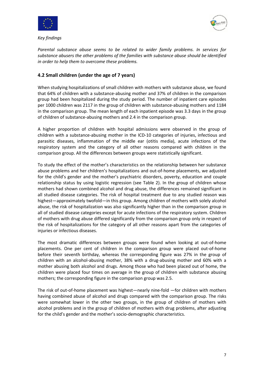



*Key findings*

*Parental substance abuse seems to be related to wider family problems. In services for substance abusers the other problems of the families with substance abuse should be identified in order to help them to overcome these problems.*

## **4.2 Small children (under the age of 7 years)**

When studying hospitalizations of small children with mothers with substance abuse, we found that 64% of children with a substance-abusing mother and 37% of children in the comparison group had been hospitalized during the study period. The number of inpatient care episodes per 1000 children was 2117 in the group of children with substance-abusing mothers and 1184 in the comparison group. The mean length of each inpatient episode was 3.3 days in the group of children of substance-abusing mothers and 2.4 in the comparison group.

A higher proportion of children with hospital admissions were observed in the group of children with a substance-abusing mother in the ICD-10 categories of injuries, infectious and parasitic diseases, inflammation of the middle ear (otitis media), acute infections of the respiratory system and the category of all other reasons compared with children in the comparison group. All the differences between groups were statistically significant.

To study the effect of the mother's characteristics on the relationship between her substance abuse problems and her children's hospitalizations and out-of-home placements, we adjusted for the child's gender and the mother's psychiatric disorders, poverty, education and couple relationship status by using logistic regression (see Table 2). In the group of children whose mothers had shown combined alcohol and drug abuse, the differences remained significant in all studied disease categories. The risk of hospital treatment due to any studied reason was highest—approximately twofold—in this group. Among children of mothers with solely alcohol abuse, the risk of hospitalization was also significantly higher than in the comparison group in all of studied disease categories except for acute infections of the respiratory system. Children of mothers with drug abuse differed significantly from the comparison group only in respect of the risk of hospitalizations for the category of all other reasons apart from the categories of injuries or infectious diseases.

The most dramatic differences between groups were found when looking at out-of-home placements. One per cent of children in the comparison group were placed out-of-home before their seventh birthday, whereas the corresponding figure was 27% in the group of children with an alcohol-abusing mother, 38% with a drug-abusing mother and 60% with a mother abusing both alcohol and drugs. Among those who had been placed out of home, the children were placed four times on average in the group of children with substance abusing mothers; the corresponding figure in the comparison group was 2.5.

The risk of out-of-home placement was highest—nearly nine-fold —for children with mothers having combined abuse of alcohol and drugs compared with the comparison group. The risks were somewhat lower in the other two groups, in the group of children of mothers with alcohol problems and in the group of children of mothers with drug problems, after adjusting for the child's gender and the mother's socio-demographic characteristics.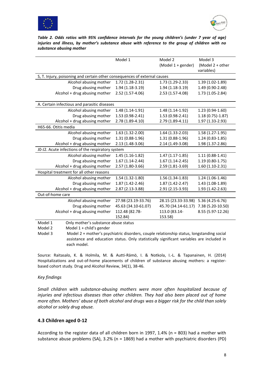



*Table 2. Odds ratios with 95% confidence intervals for the young children's (under 7 year of age) injuries and illness, by mother's substance abuse with reference to the group of children with no substance abusing mother*

|                                                                           | Model 1             | Model 2             | Model 3           |  |
|---------------------------------------------------------------------------|---------------------|---------------------|-------------------|--|
|                                                                           |                     | (Model 1 + gender)  | (Model 2 + other  |  |
|                                                                           |                     |                     | variables)        |  |
| S, T. Injury, poisoning and certain other consequences of external causes |                     |                     |                   |  |
| Alcohol abusing mother                                                    | 1.72 (1.28-2.31)    | 1.73 (1.29-2.33)    | 1.39 (1.02-1.89)  |  |
| Drug abusing mother                                                       | 1.94 (1.18-3.19)    | 1.94 (1.18-3.19)    | 1.49 (0.90-2.48)  |  |
| Alcohol + drug abusing mother                                             | 2.52 (1.57-4.06)    | 2.53 (1.57-4.08)    | 1.73 (1.05-2.84)  |  |
|                                                                           |                     |                     |                   |  |
| A. Certain infectious and parasitic diseases                              |                     |                     |                   |  |
| Alcohol abusing mother                                                    | 1.48 (1.14-1.91)    | 1.48 (1.14-1.92)    | 1.23 (0.94-1.60)  |  |
| Drug abusing mother                                                       | $1.53(0.98-2.41)$   | 1.53 (0.98-2.41)    | $1.18(0.75)-1.87$ |  |
| Alcohol + drug abusing mother                                             | 2.78 (1.89-4.10)    | 2.79 (1.89-4.11)    | 1.97 (1.33-2.93)  |  |
| H65-66. Otitis media                                                      |                     |                     |                   |  |
| Alcohol abusing mother                                                    | 1.63 (1.32-2.00)    | 1.64 (1.33-2.03)    | 1.58 (1.27-1.95)  |  |
| Drug abusing mother                                                       | 1.31 (0.88-1.96)    | 1.31 (0.88-1.96)    | 1.24 (0.83-1.85)  |  |
| Alcohol + drug abusing mother                                             | 2.13 (1.48-3.06)    | 2.14 (1.49-3.08)    | 1.98 (1.37-2.86)  |  |
| J0-J2. Acute infections of the respiratory system                         |                     |                     |                   |  |
| Alcohol abusing mother                                                    | $1.45(1.16-1.82)$   | $1.47(1.17-1.85)$   | $1.11(0.88-1.41)$ |  |
| Drug abusing mother                                                       | $1.67(1.14-2.44)$   | $1.67(1.14-2.45)$   | $1.19(0.80-1.75)$ |  |
| Alcohol + drug abusing mother                                             | 2.57 (1.80-3.66)    | 2.59 (1.81-3.69)    | 1.60 (1.10-2.31)  |  |
| Hospital treatment for all other reasons                                  |                     |                     |                   |  |
| Alcohol abusing mother                                                    | 1.54 (1.32-1.80)    | 1.56 (1.34-1.83)    | $1.24(1.06-1.46)$ |  |
| Drug abusing mother                                                       | 1.87 (1.42-2.46)    | 1.87 (1.42-2.47)    | 1.43 (1.08-1.89)  |  |
| Alcohol + drug abusing mother                                             | 2.87 (2.13-3.88)    | 2.91 (2.15-3.93)    | 1.93 (1.42-2.63)  |  |
| Out-of-home care                                                          |                     |                     |                   |  |
| Alcohol abusing mother                                                    | 27.98 (23.19-33.76) | 28.15 (23.33-33.98) | 5.36 (4.25-6.76)  |  |
| Drug abusing mother                                                       | 45.63 (34.10-61.07) | 45.70 (34.14-61.17) | 7.38 (5.20-10.50) |  |
| Alcohol + drug abusing mother                                             | 112.48 (82.78-      | 113.0 (83.14-       | 8.55 (5.97-12.26) |  |
|                                                                           | 152.84)             | 153.58)             |                   |  |
| Model 1<br>Only mother's substance abuse status                           |                     |                     |                   |  |

Model 2 Model 1 + child's gender

Model 3 Model 2 + mother's psychiatric disorders, couple relationship status, longstanding social assistance and education status. Only statistically significant variables are included in each model.

Source: Raitasalo, K. & Holmila, M. & Autti-Rämö, I. & Notkola, I.-L. & Tapanainen, H. (2014) Hospitalizations and out-of-home placements of children of substance abusing mothers: a registerbased cohort study. Drug and Alcohol Review, 34(1), 38-46.

#### *Key findings*

*Small children with substance-abusing mothers were more often hospitalized because of injuries and infectious diseases than other children. They had also been placed out of home more often. Mothers' abuse of both alcohol and drugs was a bigger risk for the child than solely alcohol or solely drug abuse.*

#### **4.3 Children aged 0-12**

According to the register data of all children born in 1997, 1.4% (n = 803) had a mother with substance abuse problems (SA), 3.2% (n = 1869) had a mother with psychiatric disorders (PD)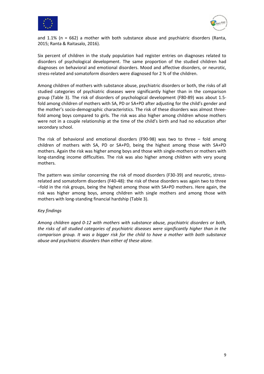



and  $1.1\%$  (n = 662) a mother with both substance abuse and psychiatric disorders (Ranta, 2015; Ranta & Raitasalo, 2016).

Six percent of children in the study population had register entries on diagnoses related to disorders of psychological development. The same proportion of the studied children had diagnoses on behavioral and emotional disorders. Mood and affective disorders, or neurotic, stress-related and somatoform disorders were diagnosed for 2 % of the children.

Among children of mothers with substance abuse, psychiatric disorders or both, the risks of all studied categories of psychiatric diseases were significantly higher than in the comparison group (Table 3). The risk of disorders of psychological development (F80-89) was about 1.5 fold among children of mothers with SA, PD or SA+PD after adjusting for the child's gender and the mother's socio-demographic characteristics. The risk of these disorders was almost threefold among boys compared to girls. The risk was also higher among children whose mothers were not in a couple relationship at the time of the child's birth and had no education after secondary school.

The risk of behavioral and emotional disorders (F90-98) was two to three – fold among children of mothers with SA, PD or SA+PD, being the highest among those with SA+PD mothers. Again the risk was higher among boys and those with single-mothers or mothers with long-standing income difficulties. The risk was also higher among children with very young mothers.

The pattern was similar concerning the risk of mood disorders (F30-39) and neurotic, stressrelated and somatoform disorders (F40-48): the risk of these disorders was again two to three –fold in the risk groups, being the highest among those with SA+PD mothers. Here again, the risk was higher among boys, among children with single mothers and among those with mothers with long-standing financial hardship (Table 3).

#### *Key findings*

*Among children aged 0-12 with mothers with substance abuse, psychiatric disorders or both, the risks of all studied categories of psychiatric diseases were significantly higher than in the comparison group. It was a bigger risk for the child to have a mother with both substance abuse and psychiatric disorders than either of these alone.*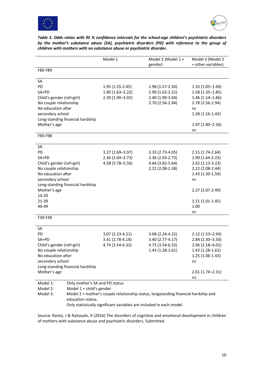



*Table 3. Odds ratios with 95 % confidence intervals for the school-age children's psychiatric disorders by the mother's substance abuse (SA), psychiatric disorders (PD) with reference to the group of children with mothers with no substance abuse or psychiatric disorder.* 

|                                            | Model 1             | Model 2 (Model 1 +                                                                    | Model 3 (Model 2    |
|--------------------------------------------|---------------------|---------------------------------------------------------------------------------------|---------------------|
|                                            |                     | gender)                                                                               | + other variables)  |
| F80-F89                                    |                     |                                                                                       |                     |
|                                            |                     |                                                                                       |                     |
| SA                                         |                     |                                                                                       |                     |
| PD                                         | $1.95(1.55-2.45)$   | 1.98 (1.57-2.50)                                                                      | $1.33(1.05 - 1.69)$ |
| SA+PD                                      | $1.90(1.63 - 2.22)$ | $1.90(1.62 - 2.21)$                                                                   | $1.58(1.35 - 1.85)$ |
| Child's gender (ref=girl)                  | $2.39(1.90 - 3.02)$ | 2.40 (1.90-3.04)                                                                      | $1.46(1.14 - 1.86)$ |
| No couple relationship                     |                     | 2.70 (2.56-2.94)                                                                      | 2.78 (2.56-2.94)    |
| No education after                         |                     |                                                                                       | ns                  |
| secondary school                           |                     |                                                                                       | $1.28(1.16-1.43)$   |
| Long-standing financial hardship           |                     |                                                                                       |                     |
| Mother's age                               |                     |                                                                                       | $1.97(1.80 - 2.16)$ |
|                                            |                     |                                                                                       | ns                  |
| F90-F98                                    |                     |                                                                                       |                     |
| SA                                         |                     |                                                                                       |                     |
| PD                                         | $3.27(2.69 - 3.97)$ | 3.33 (2.73-4.05)                                                                      | $2.15(1.74-2.64)$   |
| SA+PD                                      | $2.36(2.04 - 2.73)$ | 2.36 (2.03-2.73)                                                                      | 1.90 (1.64-2.23)    |
| Child's gender (ref=girl)                  | 4.58 (3.78-5.56)    | 4.64 (3.82-5.64)                                                                      | $2.62$ (2.13-3.23)  |
| No couple relationship                     |                     | 2.22 (2.08-2.38)                                                                      | 2.22 (2.08-2.44)    |
| No education after                         |                     |                                                                                       | 1.43 (1.30-1.59)    |
| secondary school                           |                     |                                                                                       | ns                  |
| Long-standing financial hardship           |                     |                                                                                       |                     |
| Mother's age                               |                     |                                                                                       | 2.27 (2.07-2.49)    |
| 14-20                                      |                     |                                                                                       |                     |
| 21-39                                      |                     |                                                                                       | $1.21(1.01-1.45)$   |
| 40-49                                      |                     |                                                                                       | 1.00                |
|                                            |                     |                                                                                       | ns                  |
| F30-F49                                    |                     |                                                                                       |                     |
| <b>SA</b>                                  |                     |                                                                                       |                     |
| PD                                         | 3.07 (2.23-4.21)    | 3.08 (2.24-4.22)                                                                      | 2.12 (1.53-2.94)    |
| SA+PD                                      | 3.41 (2.78-4.18)    | 3.40 (2.77-4.17)                                                                      | $2.84(2.30 - 3.50)$ |
| Child's gender (ref=girl)                  | 4.74 (3.54-6.33)    | 4.73 (3.54-6.32)                                                                      | $2.96(2.18 - 4.01)$ |
| No couple relationship                     |                     | $1.43(1.28-1.61)$                                                                     | 1.43 (1.28-1.61)    |
| No education after                         |                     |                                                                                       | 1.25 (1.06-1.43)    |
| secondary school                           |                     |                                                                                       | ns                  |
| Long-standing financial hardship           |                     |                                                                                       |                     |
| Mother's age                               |                     |                                                                                       | $2.01(1.74 - 2.31)$ |
|                                            |                     |                                                                                       | ns                  |
| Model 1:<br>Only mother's SA and PD status |                     |                                                                                       |                     |
| Model 2:<br>Model $1 +$ child's gender     |                     |                                                                                       |                     |
| $M$ odol 2.                                |                     | Model 2 u mother's countered relationship status. Jonastanding financial bardship and |                     |

Model 3: Model 2 + mother's couple relationship status, longstanding financial hardship and education status. Only statistically significant variables are included in each model.

Source: Ranta, J & Raitasalo, K (2016) The disorders of cognitive and emotional development in children of mothers with substance abuse and psychiatric disorders. Submitted.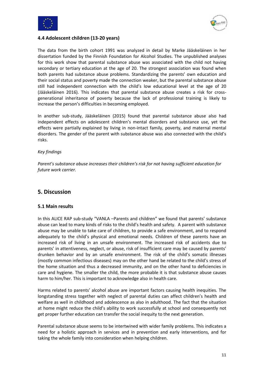



#### **4.4 Adolescent children (13-20 years)**

The data from the birth cohort 1991 was analyzed in detail by Marke Jääskeläinen in her dissertation funded by the Finnish Foundation for Alcohol Studies. The unpublished analyses for this work show that parental substance abuse was associated with the child not having secondary or tertiary education at the age of 20. The strongest association was found when both parents had substance abuse problems. Standardizing the parents' own education and their social status and poverty made the connection weaker, but the parental substance abuse still had independent connection with the child's low educational level at the age of 20 (Jääskeläinen 2016). This indicates that parental substance abuse creates a risk for crossgenerational inheritance of poverty because the lack of professional training is likely to increase the person's difficulties in becoming employed.

In another sub-study, Jääskeläinen (2015) found that parental substance abuse also had independent effects on adolescent children's mental disorders and substance use, yet the effects were partially explained by living in non-intact family, poverty, and maternal mental disorders. The gender of the parent with substance abuse was also connected with the child's risks.

#### *Key findings*

*Parent's substance abuse increases their children's risk for not having sufficient education for future work carrier.* 

### **5. Discussion**

#### **5.1 Main results**

In this ALICE RAP sub-study "VANLA –Parents and children" we found that parents' substance abuse can lead to many kinds of risks to the child's health and safety. A parent with substance abuse may be unable to take care of children, to provide a safe environment, and to respond adequately to the child's physical and emotional needs. Children of these parents have an increased risk of living in an unsafe environment. The increased risk of accidents due to parents' in attentiveness, neglect, or abuse, risk of insufficient care may be caused by parents' drunken behavior and by an unsafe environment. The risk of the child's somatic illnesses (mostly common infectious diseases) may on the other hand be related to the child's stress of the home situation and thus a decreased immunity, and on the other hand to deficiencies in care and hygiene. The smaller the child, the more probable it is that substance abuse causes harm to him/her. This is important to acknowledge also in health care.

Harms related to parents' alcohol abuse are important factors causing health inequities. The longstanding stress together with neglect of parental duties can affect children's health and welfare as well in childhood and adolescence as also in adulthood. The fact that the situation at home might reduce the child's ability to work successfully at school and consequently not get proper further education can transfer the social inequity to the next generation.

Parental substance abuse seems to be intertwined with wider family problems. This indicates a need for a holistic approach in services and in prevention and early interventions, and for taking the whole family into consideration when helping children.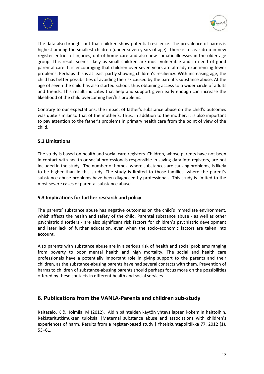



The data also brought out that children show potential resilience. The prevalence of harms is highest among the smallest children (under seven years of age). There is a clear drop in new register entries of injuries, out-of-home care and also new somatic illnesses in the older age group. This result seems likely as small children are most vulnerable and in need of good parental care. It is encouraging that children over seven years are already experiencing fewer problems. Perhaps this is at least partly showing children's resiliency. With increasing age, the child has better possibilities of avoiding the risk caused by the parent's substance abuse. At the age of seven the child has also started school, thus obtaining access to a wider circle of adults and friends. This result indicates that help and support given early enough can increase the likelihood of the child overcoming her/his problems.

Contrary to our expectations, the impact of father's substance abuse on the child's outcomes was quite similar to that of the mother's. Thus, in addition to the mother, it is also important to pay attention to the father's problems in primary health care from the point of view of the child.

#### **5.2 Limitations**

The study is based on health and social care registers. Children, whose parents have not been in contact with health or social professionals responsible in saving data into registers, are not included in the study. The number of homes, where substances are causing problems, is likely to be higher than in this study. The study is limited to those families, where the parent's substance abuse problems have been diagnosed by professionals. This study is limited to the most severe cases of parental substance abuse.

#### **5.3 Implications for further research and policy**

The parents' substance abuse has negative outcomes on the child's immediate environment, which affects the health and safety of the child. Parental substance abuse - as well as other psychiatric disorders - are also significant risk factors for children's psychiatric development and later lack of further education, even when the socio-economic factors are taken into account.

Also parents with substance abuse are in a serious risk of health and social problems ranging from poverty to poor mental health and high mortality. The social and health care professionals have a potentially important role in giving support to the parents and their children, as the substance-abusing parents have had several contacts with them. Prevention of harms to children of substance-abusing parents should perhaps focus more on the possibilities offered by these contacts in different health and social services.

## **6. Publications from the VANLA-Parents and children sub-study**

Raitasalo, K & Holmila, M (2012). Äidin päihteiden käytön yhteys lapsen kokemiin haittoihin. Rekisteritutkimuksen tuloksia. [Maternal substance abuse and associations with children's experiences of harm. Results from a register-based study.] Yhteiskuntapolitiikka 77, 2012 (1), 53–61.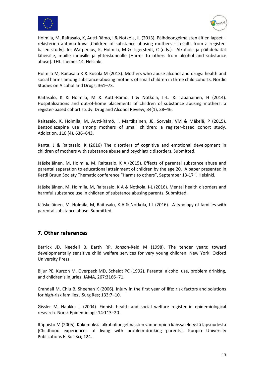



Holmila, M, Raitasalo, K, Autti-Rämo, I & Notkola, IL (2013). Päihdeongelmaisten äitien lapset – rekisterien antama kuva [Children of substance abusing mothers – results from a registerbased study]. In: Warpenius, K, Holmila, M & Tigerstedt, C (eds.). Alkoholi- ja päihdehaitat läheisille, muille ihmisille ja yhteiskunnalle [Harms to others from alcohol and substance abuse]. THL Themes 14, Helsinki.

Holmila M, Raitasalo K & Kosola M (2013). Mothers who abuse alcohol and drugs: health and social harms among substance-abusing mothers of small children in three child cohorts. Nordic Studies on Alcohol and Drugs; 361–73.

Raitasalo, K & Holmila, M & Autti-Rämö, I & Notkola, I.-L. & Tapanainen, H (2014). Hospitalizations and out-of-home placements of children of substance abusing mothers: a register-based cohort study. Drug and Alcohol Review, 34(1), 38–46.

Raitasalo, K, Holmila, M, Autti-Rämö, I, Martikainen, JE, Sorvala, VM & Mäkelä, P (2015). Benzodiazepine use among mothers of small children: a register-based cohort study. Addiction, 110 (4), 636–643.

Ranta, J & Raitasalo, K (2016) The disorders of cognitive and emotional development in children of mothers with substance abuse and psychiatric disorders. Submitted.

Jääskeläinen, M, Holmila, M, Raitasalo, K A (2015). Effects of parental substance abuse and parental separation to educational attainment of children by the age 20. A paper presented in Kettil Bruun Society Thematic conference "Harms to others", September 13-17<sup>th</sup>, Helsinki.

Jääskeläinen, M, Holmila, M, Raitasalo, K A & Notkola, I-L (2016). Mental health disorders and harmful substance use in children of substance abusing parents. Submitted.

Jääskeläinen, M, Holmila, M, Raitasalo, K A & Notkola, I-L (2016). A typology of families with parental substance abuse. Submitted.

## **7. Other references**

Berrick JD, Needell B, Barth RP, Jonson-Reid M (1998). The tender years: toward developmentally sensitive child welfare services for very young children. New York: Oxford University Press.

Bijur PE, Kurzon M, Overpeck MD, Scheidt PC (1992). Parental alcohol use, problem drinking, and children's injuries. JAMA, 267:3166–71.

Crandall M, Chiu B, Sheehan K (2006). Injury in the first year of life: risk factors and solutions for high-risk families J Surg Res; 133:7–10.

Gissler M, Haukka J. (2004). Finnish health and social welfare register in epidemiological research. Norsk Epidemiologi; 14:113–20.

Itäpuisto M (2005). Kokemuksia alkoholiongelmaisten vanhempien kanssa eletystä lapsuudesta [Childhood experiences of living with problem-drinking parents]. Kuopio University Publications E. Soc Sci; 124.